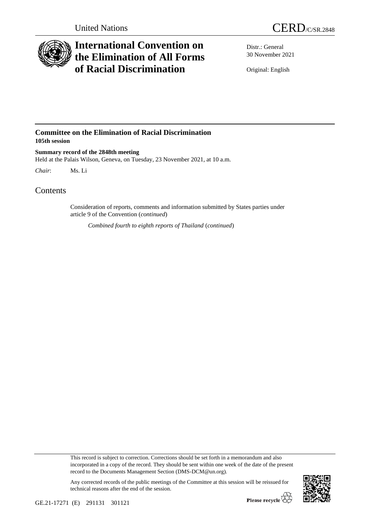

## **International Convention on the Elimination of All Forms of Racial Discrimination**

Distr.: General 30 November 2021

Original: English

## **Committee on the Elimination of Racial Discrimination 105th session**

**Summary record of the 2848th meeting** Held at the Palais Wilson, Geneva, on Tuesday, 23 November 2021, at 10 a.m.

*Chair*: Ms. Li

## Contents

Consideration of reports, comments and information submitted by States parties under article 9 of the Convention (*continued*)

*Combined fourth to eighth reports of Thailand* (*continued*)

This record is subject to correction. Corrections should be set forth in a memorandum and also incorporated in a copy of the record. They should be sent within one week of the date of the present record to the Documents Management Section (DMS-DCM@un.org).

Any corrected records of the public meetings of the Committee at this session will be reissued for technical reasons after the end of the session.

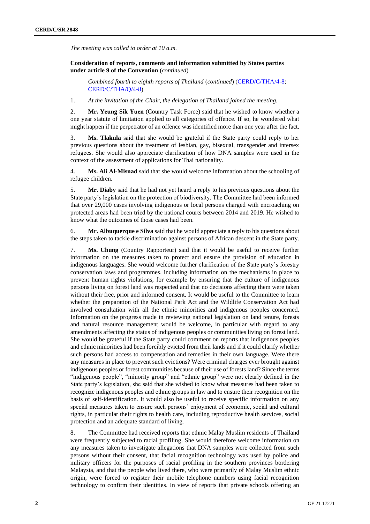*The meeting was called to order at 10 a.m.*

**Consideration of reports, comments and information submitted by States parties under article 9 of the Convention** (*continued*)

*Combined fourth to eighth reports of Thailand* (*continued*) [\(CERD/C/THA/4-8;](http://undocs.org/en/CERD/C/THA/4-8) [CERD/C/THA/Q/4-8\)](http://undocs.org/en/CERD/C/THA/Q/4-8)

1. *At the invitation of the Chair, the delegation of Thailand joined the meeting.*

2. **Mr. Yeung Sik Yuen** (Country Task Force) said that he wished to know whether a one year statute of limitation applied to all categories of offence. If so, he wondered what might happen if the perpetrator of an offence was identified more than one year after the fact.

3. **Ms. Tlakula** said that she would be grateful if the State party could reply to her previous questions about the treatment of lesbian, gay, bisexual, transgender and intersex refugees. She would also appreciate clarification of how DNA samples were used in the context of the assessment of applications for Thai nationality.

4. **Ms. Ali Al-Misnad** said that she would welcome information about the schooling of refugee children.

5. **Mr. Diaby** said that he had not yet heard a reply to his previous questions about the State party's legislation on the protection of biodiversity. The Committee had been informed that over 29,000 cases involving indigenous or local persons charged with encroaching on protected areas had been tried by the national courts between 2014 and 2019. He wished to know what the outcomes of those cases had been.

6. **Mr. Albuquerque e Silva** said that he would appreciate a reply to his questions about the steps taken to tackle discrimination against persons of African descent in the State party.

7. **Ms. Chung** (Country Rapporteur) said that it would be useful to receive further information on the measures taken to protect and ensure the provision of education in indigenous languages. She would welcome further clarification of the State party's forestry conservation laws and programmes, including information on the mechanisms in place to prevent human rights violations, for example by ensuring that the culture of indigenous persons living on forest land was respected and that no decisions affecting them were taken without their free, prior and informed consent. It would be useful to the Committee to learn whether the preparation of the National Park Act and the Wildlife Conservation Act had involved consultation with all the ethnic minorities and indigenous peoples concerned. Information on the progress made in reviewing national legislation on land tenure, forests and natural resource management would be welcome, in particular with regard to any amendments affecting the status of indigenous peoples or communities living on forest land. She would be grateful if the State party could comment on reports that indigenous peoples and ethnic minorities had been forcibly evicted from their lands and if it could clarify whether such persons had access to compensation and remedies in their own language. Were there any measures in place to prevent such evictions? Were criminal charges ever brought against indigenous peoples or forest communities because of their use of forests land? Since the terms "indigenous people", "minority group" and "ethnic group" were not clearly defined in the State party's legislation, she said that she wished to know what measures had been taken to recognize indigenous peoples and ethnic groups in law and to ensure their recognition on the basis of self-identification. It would also be useful to receive specific information on any special measures taken to ensure such persons' enjoyment of economic, social and cultural rights, in particular their rights to health care, including reproductive health services, social protection and an adequate standard of living.

8. The Committee had received reports that ethnic Malay Muslim residents of Thailand were frequently subjected to racial profiling. She would therefore welcome information on any measures taken to investigate allegations that DNA samples were collected from such persons without their consent, that facial recognition technology was used by police and military officers for the purposes of racial profiling in the southern provinces bordering Malaysia, and that the people who lived there, who were primarily of Malay Muslim ethnic origin, were forced to register their mobile telephone numbers using facial recognition technology to confirm their identities. In view of reports that private schools offering an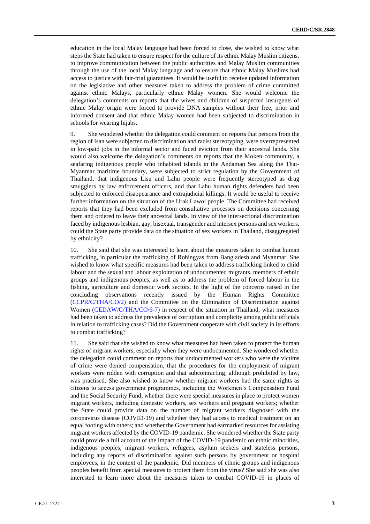education in the local Malay language had been forced to close, she wished to know what steps the State had taken to ensure respect for the culture of its ethnic Malay Muslim citizens, to improve communication between the public authorities and Malay Muslim communities through the use of the local Malay language and to ensure that ethnic Malay Muslims had access to justice with fair-trial guarantees. It would be useful to receive updated information on the legislative and other measures taken to address the problem of crime committed against ethnic Malays, particularly ethnic Malay women. She would welcome the delegation's comments on reports that the wives and children of suspected insurgents of ethnic Malay origin were forced to provide DNA samples without their free, prior and informed consent and that ethnic Malay women had been subjected to discrimination in schools for wearing hijabs.

9. She wondered whether the delegation could comment on reports that persons from the region of Isan were subjected to discrimination and racist stereotyping, were overrepresented in low-paid jobs in the informal sector and faced eviction from their ancestral lands. She would also welcome the delegation's comments on reports that the Moken community, a seafaring indigenous people who inhabited islands in the Andaman Sea along the Thai-Myanmar maritime boundary, were subjected to strict regulation by the Government of Thailand, that indigenous Lisu and Lahu people were frequently stereotyped as drug smugglers by law enforcement officers, and that Lahu human rights defenders had been subjected to enforced disappearance and extrajudicial killings. It would be useful to receive further information on the situation of the Urak Lawoi people. The Committee had received reports that they had been excluded from consultative processes on decisions concerning them and ordered to leave their ancestral lands. In view of the intersectional discrimination faced by indigenous lesbian, gay, bisexual, transgender and intersex persons and sex workers, could the State party provide data on the situation of sex workers in Thailand, disaggregated by ethnicity?

10. She said that she was interested to learn about the measures taken to combat human trafficking, in particular the trafficking of Rohingyas from Bangladesh and Myanmar. She wished to know what specific measures had been taken to address trafficking linked to child labour and the sexual and labour exploitation of undocumented migrants, members of ethnic groups and indigenous peoples, as well as to address the problem of forced labour in the fishing, agriculture and domestic work sectors. In the light of the concerns raised in the concluding observations recently issued by the Human Rights Committee [\(CCPR/C/THA/CO/2\)](http://undocs.org/en/CCPR/C/THA/CO/2) and the Committee on the Elimination of Discrimination against Women [\(CEDAW/C/THA/CO/6-7\)](http://undocs.org/en/CEDAW/C/THA/CO/6-7) in respect of the situation in Thailand, what measures had been taken to address the prevalence of corruption and complicity among public officials in relation to trafficking cases? Did the Government cooperate with civil society in its efforts to combat trafficking?

11. She said that she wished to know what measures had been taken to protect the human rights of migrant workers, especially when they were undocumented. She wondered whether the delegation could comment on reports that undocumented workers who were the victims of crime were denied compensation, that the procedures for the employment of migrant workers were ridden with corruption and that subcontracting, although prohibited by law, was practised. She also wished to know whether migrant workers had the same rights as citizens to access government programmes, including the Workmen's Compensation Fund and the Social Security Fund; whether there were special measures in place to protect women migrant workers, including domestic workers, sex workers and pregnant workers; whether the State could provide data on the number of migrant workers diagnosed with the coronavirus disease (COVID-19) and whether they had access to medical treatment on an equal footing with others; and whether the Government had earmarked resources for assisting migrant workers affected by the COVID-19 pandemic. She wondered whether the State party could provide a full account of the impact of the COVID-19 pandemic on ethnic minorities, indigenous peoples, migrant workers, refugees, asylum seekers and stateless persons, including any reports of discrimination against such persons by government or hospital employees, in the context of the pandemic. Did members of ethnic groups and indigenous peoples benefit from special measures to protect them from the virus? She said she was also interested to learn more about the measures taken to combat COVID-19 in places of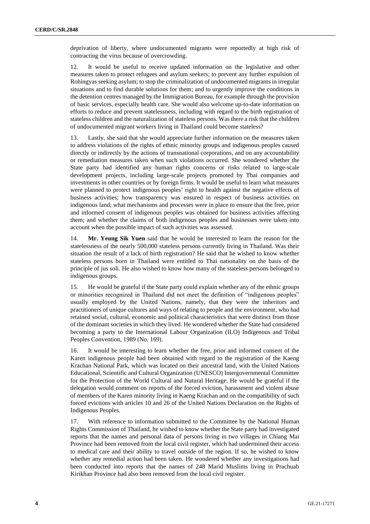deprivation of liberty, where undocumented migrants were reportedly at high risk of contracting the virus because of overcrowding.

12. It would be useful to receive updated information on the legislative and other measures taken to protect refugees and asylum seekers; to prevent any further expulsion of Rohingyas seeking asylum; to stop the criminalization of undocumented migrants in irregular situations and to find durable solutions for them; and to urgently improve the conditions in the detention centres managed by the Immigration Bureau, for example through the provision of basic services, especially health care. She would also welcome up-to-date information on efforts to reduce and prevent statelessness, including with regard to the birth registration of stateless children and the naturalization of stateless persons. Was there a risk that the children of undocumented migrant workers living in Thailand could become stateless?

13. Lastly, she said that she would appreciate further information on the measures taken to address violations of the rights of ethnic minority groups and indigenous peoples caused directly or indirectly by the actions of transnational corporations, and on any accountability or remediation measures taken when such violations occurred. She wondered whether the State party had identified any human rights concerns or risks related to large-scale development projects, including large-scale projects promoted by Thai companies and investments in other countries or by foreign firms. It would be useful to learn what measures were planned to protect indigenous peoples' right to health against the negative effects of business activities; how transparency was ensured in respect of business activities on indigenous land; what mechanisms and processes were in place to ensure that the free, prior and informed consent of indigenous peoples was obtained for business activities affecting them; and whether the claims of both indigenous peoples and businesses were taken into account when the possible impact of such activities was assessed.

14. **Mr. Yeung Sik Yuen** said that he would be interested to learn the reason for the statelessness of the nearly 500,000 stateless persons currently living in Thailand. Was their situation the result of a lack of birth registration? He said that he wished to know whether stateless persons born in Thailand were entitled to Thai nationality on the basis of the principle of jus soli. He also wished to know how many of the stateless persons belonged to indigenous groups.

15. He would be grateful if the State party could explain whether any of the ethnic groups or minorities recognized in Thailand did not meet the definition of "indigenous peoples" usually employed by the United Nations, namely, that they were the inheritors and practitioners of unique cultures and ways of relating to people and the environment, who had retained social, cultural, economic and political characteristics that were distinct from those of the dominant societies in which they lived. He wondered whether the State had considered becoming a party to the International Labour Organization (ILO) Indigenous and Tribal Peoples Convention, 1989 (No. 169).

16. It would be interesting to learn whether the free, prior and informed consent of the Karen indigenous people had been obtained with regard to the registration of the Kaeng Krachan National Park, which was located on their ancestral land, with the United Nations Educational, Scientific and Cultural Organization (UNESCO) Intergovernmental Committee for the Protection of the World Cultural and Natural Heritage. He would be grateful if the delegation would comment on reports of the forced eviction, harassment and violent abuse of members of the Karen minority living in Kaeng Krachan and on the compatibility of such forced evictions with articles 10 and 26 of the United Nations Declaration on the Rights of Indigenous Peoples.

17. With reference to information submitted to the Committee by the National Human Rights Commission of Thailand, he wished to know whether the State party had investigated reports that the names and personal data of persons living in two villages in Chiang Mai Province had been removed from the local civil register, which had undermined their access to medical care and their ability to travel outside of the region. If so, he wished to know whether any remedial action had been taken. He wondered whether any investigations had been conducted into reports that the names of 248 Marid Muslims living in Prachuab Kirikhan Province had also been removed from the local civil register.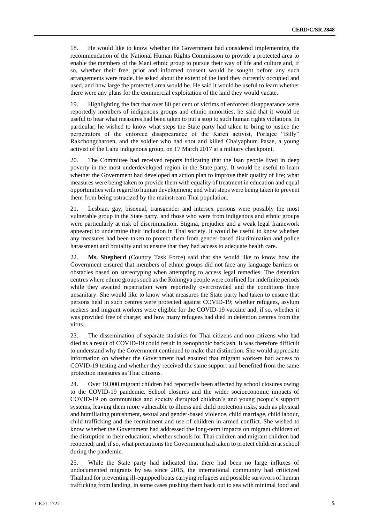18. He would like to know whether the Government had considered implementing the recommendation of the National Human Rights Commission to provide a protected area to enable the members of the Mani ethnic group to pursue their way of life and culture and, if so, whether their free, prior and informed consent would be sought before any such arrangements were made. He asked about the extent of the land they currently occupied and used, and how large the protected area would be. He said it would be useful to learn whether there were any plans for the commercial exploitation of the land they would vacate.

19. Highlighting the fact that over 80 per cent of victims of enforced disappearance were reportedly members of indigenous groups and ethnic minorities, he said that it would be useful to hear what measures had been taken to put a stop to such human rights violations. In particular, he wished to know what steps the State party had taken to bring to justice the perpetrators of the enforced disappearance of the Karen activist, Porlajee "Billy" Rakchongcharoen, and the soldier who had shot and killed Chaiyaphum Pasae, a young activist of the Lahu indigenous group, on 17 March 2017 at a military checkpoint.

20. The Committee had received reports indicating that the Isan people lived in deep poverty in the most underdeveloped region in the State party. It would be useful to learn whether the Government had developed an action plan to improve their quality of life; what measures were being taken to provide them with equality of treatment in education and equal opportunities with regard to human development; and what steps were being taken to prevent them from being ostracized by the mainstream Thai population.

21. Lesbian, gay, bisexual, transgender and intersex persons were possibly the most vulnerable group in the State party, and those who were from indigenous and ethnic groups were particularly at risk of discrimination. Stigma, prejudice and a weak legal framework appeared to undermine their inclusion in Thai society. It would be useful to know whether any measures had been taken to protect them from gender-based discrimination and police harassment and brutality and to ensure that they had access to adequate health care.

22. **Ms. Shepherd** (Country Task Force) said that she would like to know how the Government ensured that members of ethnic groups did not face any language barriers or obstacles based on stereotyping when attempting to access legal remedies. The detention centres where ethnic groups such as the Rohingya people were confined for indefinite periods while they awaited repatriation were reportedly overcrowded and the conditions there unsanitary. She would like to know what measures the State party had taken to ensure that persons held in such centres were protected against COVID-19; whether refugees, asylum seekers and migrant workers were eligible for the COVID-19 vaccine and, if so, whether it was provided free of charge; and how many refugees had died in detention centres from the virus.

23. The dissemination of separate statistics for Thai citizens and non-citizens who had died as a result of COVID-19 could result in xenophobic backlash. It was therefore difficult to understand why the Government continued to make that distinction. She would appreciate information on whether the Government had ensured that migrant workers had access to COVID-19 testing and whether they received the same support and benefited from the same protection measures as Thai citizens.

24. Over 19,000 migrant children had reportedly been affected by school closures owing to the COVID-19 pandemic. School closures and the wider socioeconomic impacts of COVID-19 on communities and society disrupted children's and young people's support systems, leaving them more vulnerable to illness and child protection risks, such as physical and humiliating punishment, sexual and gender-based violence, child marriage, child labour, child trafficking and the recruitment and use of children in armed conflict. She wished to know whether the Government had addressed the long-term impacts on migrant children of the disruption in their education; whether schools for Thai children and migrant children had reopened; and, if so, what precautions the Government had taken to protect children at school during the pandemic.

25. While the State party had indicated that there had been no large influxes of undocumented migrants by sea since 2015, the international community had criticized Thailand for preventing ill-equipped boats carrying refugees and possible survivors of human trafficking from landing, in some cases pushing them back out to sea with minimal food and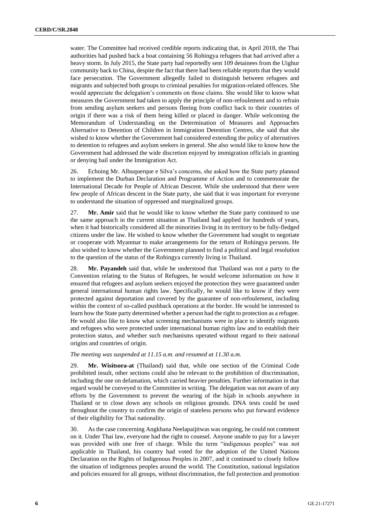water. The Committee had received credible reports indicating that, in April 2018, the Thai authorities had pushed back a boat containing 56 Rohingya refugees that had arrived after a heavy storm. In July 2015, the State party had reportedly sent 109 detainees from the Uighur community back to China, despite the fact that there had been reliable reports that they would face persecution. The Government allegedly failed to distinguish between refugees and migrants and subjected both groups to criminal penalties for migration-related offences. She would appreciate the delegation's comments on those claims. She would like to know what measures the Government had taken to apply the principle of non-refoulement and to refrain from sending asylum seekers and persons fleeing from conflict back to their countries of origin if there was a risk of them being killed or placed in danger. While welcoming the Memorandum of Understanding on the Determination of Measures and Approaches Alternative to Detention of Children in Immigration Detention Centres, she said that she wished to know whether the Government had considered extending the policy of alternatives to detention to refugees and asylum seekers in general. She also would like to know how the Government had addressed the wide discretion enjoyed by immigration officials in granting or denying bail under the Immigration Act.

26. Echoing Mr. Albuquerque e Silva's concerns, she asked how the State party planned to implement the Durban Declaration and Programme of Action and to commemorate the International Decade for People of African Descent. While she understood that there were few people of African descent in the State party, she said that it was important for everyone to understand the situation of oppressed and marginalized groups.

27. **Mr. Amir** said that he would like to know whether the State party continued to use the same approach in the current situation as Thailand had applied for hundreds of years, when it had historically considered all the minorities living in its territory to be fully-fledged citizens under the law. He wished to know whether the Government had sought to negotiate or cooperate with Myanmar to make arrangements for the return of Rohingya persons. He also wished to know whether the Government planned to find a political and legal resolution to the question of the status of the Rohingya currently living in Thailand.

28. **Mr. Payandeh** said that, while he understood that Thailand was not a party to the Convention relating to the Status of Refugees, he would welcome information on how it ensured that refugees and asylum seekers enjoyed the protection they were guaranteed under general international human rights law. Specifically, he would like to know if they were protected against deportation and covered by the guarantee of non-refoulement, including within the context of so-called pushback operations at the border. He would be interested to learn how the State party determined whether a person had the right to protection as a refugee. He would also like to know what screening mechanisms were in place to identify migrants and refugees who were protected under international human rights law and to establish their protection status, and whether such mechanisms operated without regard to their national origins and countries of origin.

## *The meeting was suspended at 11.15 a.m. and resumed at 11.30 a.m.*

29. **Mr. Wisitsora-at** (Thailand) said that, while one section of the Criminal Code prohibited insult, other sections could also be relevant to the prohibition of discrimination, including the one on defamation, which carried heavier penalties. Further information in that regard would be conveyed to the Committee in writing. The delegation was not aware of any efforts by the Government to prevent the wearing of the hijab in schools anywhere in Thailand or to close down any schools on religious grounds. DNA tests could be used throughout the country to confirm the origin of stateless persons who put forward evidence of their eligibility for Thai nationality.

30. As the case concerning Angkhana Neelapaijitwas was ongoing, he could not comment on it. Under Thai law, everyone had the right to counsel. Anyone unable to pay for a lawyer was provided with one free of charge. While the term "indigenous peoples" was not applicable in Thailand, his country had voted for the adoption of the United Nations Declaration on the Rights of Indigenous Peoples in 2007, and it continued to closely follow the situation of indigenous peoples around the world. The Constitution, national legislation and policies ensured for all groups, without discrimination, the full protection and promotion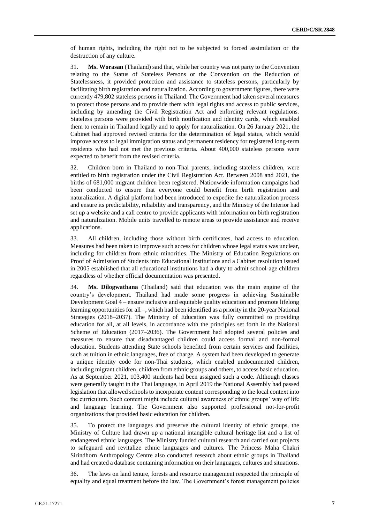of human rights, including the right not to be subjected to forced assimilation or the destruction of any culture.

31. **Ms. Worasan** (Thailand) said that, while her country was not party to the Convention relating to the Status of Stateless Persons or the Convention on the Reduction of Statelessness, it provided protection and assistance to stateless persons, particularly by facilitating birth registration and naturalization. According to government figures, there were currently 479,802 stateless persons in Thailand. The Government had taken several measures to protect those persons and to provide them with legal rights and access to public services, including by amending the Civil Registration Act and enforcing relevant regulations. Stateless persons were provided with birth notification and identity cards, which enabled them to remain in Thailand legally and to apply for naturalization. On 26 January 2021, the Cabinet had approved revised criteria for the determination of legal status, which would improve access to legal immigration status and permanent residency for registered long-term residents who had not met the previous criteria. About 400,000 stateless persons were expected to benefit from the revised criteria.

32. Children born in Thailand to non-Thai parents, including stateless children, were entitled to birth registration under the Civil Registration Act. Between 2008 and 2021, the births of 681,000 migrant children been registered. Nationwide information campaigns had been conducted to ensure that everyone could benefit from birth registration and naturalization. A digital platform had been introduced to expedite the naturalization process and ensure its predictability, reliability and transparency, and the Ministry of the Interior had set up a website and a call centre to provide applicants with information on birth registration and naturalization. Mobile units travelled to remote areas to provide assistance and receive applications.

33. All children, including those without birth certificates, had access to education. Measures had been taken to improve such access for children whose legal status was unclear, including for children from ethnic minorities. The Ministry of Education Regulations on Proof of Admission of Students into Educational Institutions and a Cabinet resolution issued in 2005 established that all educational institutions had a duty to admit school-age children regardless of whether official documentation was presented.

34. **Ms. Dilogwathana** (Thailand) said that education was the main engine of the country's development. Thailand had made some progress in achieving Sustainable Development Goal 4 – ensure inclusive and equitable quality education and promote lifelong learning opportunities for all –, which had been identified as a priority in the 20-year National Strategies (2018–2037). The Ministry of Education was fully committed to providing education for all, at all levels, in accordance with the principles set forth in the National Scheme of Education (2017–2036). The Government had adopted several policies and measures to ensure that disadvantaged children could access formal and non-formal education. Students attending State schools benefited from certain services and facilities, such as tuition in ethnic languages, free of charge. A system had been developed to generate a unique identity code for non-Thai students, which enabled undocumented children, including migrant children, children from ethnic groups and others, to access basic education. As at September 2021, 103,400 students had been assigned such a code. Although classes were generally taught in the Thai language, in April 2019 the National Assembly had passed legislation that allowed schools to incorporate content corresponding to the local context into the curriculum. Such content might include cultural awareness of ethnic groups' way of life and language learning. The Government also supported professional not-for-profit organizations that provided basic education for children.

35. To protect the languages and preserve the cultural identity of ethnic groups, the Ministry of Culture had drawn up a national intangible cultural heritage list and a list of endangered ethnic languages. The Ministry funded cultural research and carried out projects to safeguard and revitalize ethnic languages and cultures. The Princess Maha Chakri Sirindhorn Anthropology Centre also conducted research about ethnic groups in Thailand and had created a database containing information on their languages, cultures and situations.

36. The laws on land tenure, forests and resource management respected the principle of equality and equal treatment before the law. The Government's forest management policies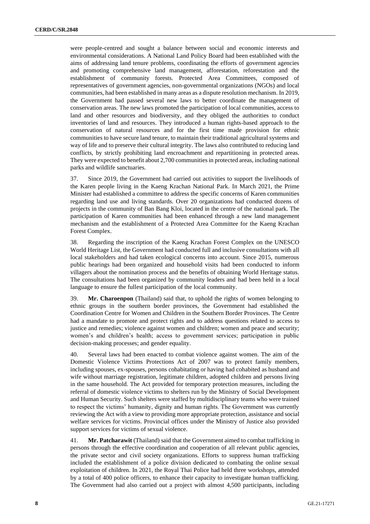were people-centred and sought a balance between social and economic interests and environmental considerations. A National Land Policy Board had been established with the aims of addressing land tenure problems, coordinating the efforts of government agencies and promoting comprehensive land management, afforestation, reforestation and the establishment of community forests. Protected Area Committees, composed of representatives of government agencies, non-governmental organizations (NGOs) and local communities, had been established in many areas as a dispute resolution mechanism. In 2019, the Government had passed several new laws to better coordinate the management of conservation areas. The new laws promoted the participation of local communities, access to land and other resources and biodiversity, and they obliged the authorities to conduct inventories of land and resources. They introduced a human rights-based approach to the conservation of natural resources and for the first time made provision for ethnic communities to have secure land tenure, to maintain their traditional agricultural systems and way of life and to preserve their cultural integrity. The laws also contributed to reducing land conflicts, by strictly prohibiting land encroachment and repartitioning in protected areas. They were expected to benefit about 2,700 communities in protected areas, including national parks and wildlife sanctuaries.

37. Since 2019, the Government had carried out activities to support the livelihoods of the Karen people living in the Kaeng Krachan National Park. In March 2021, the Prime Minister had established a committee to address the specific concerns of Karen communities regarding land use and living standards. Over 20 organizations had conducted dozens of projects in the community of Ban Bang Kloi, located in the centre of the national park. The participation of Karen communities had been enhanced through a new land management mechanism and the establishment of a Protected Area Committee for the Kaeng Krachan Forest Complex.

38. Regarding the inscription of the Kaeng Krachan Forest Complex on the UNESCO World Heritage List, the Government had conducted full and inclusive consultations with all local stakeholders and had taken ecological concerns into account. Since 2015, numerous public hearings had been organized and household visits had been conducted to inform villagers about the nomination process and the benefits of obtaining World Heritage status. The consultations had been organized by community leaders and had been held in a local language to ensure the fullest participation of the local community.

39. **Mr. Charoenpon** (Thailand) said that, to uphold the rights of women belonging to ethnic groups in the southern border provinces, the Government had established the Coordination Centre for Women and Children in the Southern Border Provinces. The Centre had a mandate to promote and protect rights and to address questions related to access to justice and remedies; violence against women and children; women and peace and security; women's and children's health; access to government services; participation in public decision-making processes; and gender equality.

40. Several laws had been enacted to combat violence against women. The aim of the Domestic Violence Victims Protections Act of 2007 was to protect family members, including spouses, ex-spouses, persons cohabitating or having had cohabited as husband and wife without marriage registration, legitimate children, adopted children and persons living in the same household. The Act provided for temporary protection measures, including the referral of domestic violence victims to shelters run by the Ministry of Social Development and Human Security. Such shelters were staffed by multidisciplinary teams who were trained to respect the victims' humanity, dignity and human rights. The Government was currently reviewing the Act with a view to providing more appropriate protection, assistance and social welfare services for victims. Provincial offices under the Ministry of Justice also provided support services for victims of sexual violence.

41. **Mr. Patcharawit** (Thailand) said that the Government aimed to combat trafficking in persons through the effective coordination and cooperation of all relevant public agencies, the private sector and civil society organizations. Efforts to suppress human trafficking included the establishment of a police division dedicated to combating the online sexual exploitation of children. In 2021, the Royal Thai Police had held three workshops, attended by a total of 400 police officers, to enhance their capacity to investigate human trafficking. The Government had also carried out a project with almost 4,500 participants, including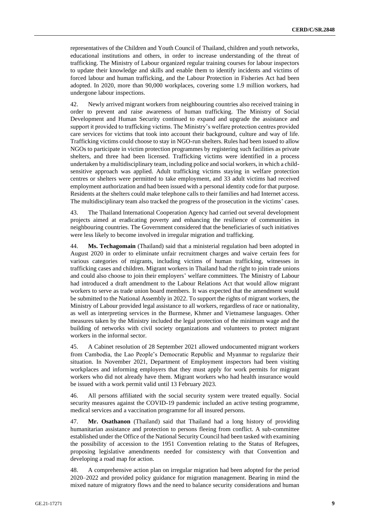representatives of the Children and Youth Council of Thailand, children and youth networks, educational institutions and others, in order to increase understanding of the threat of trafficking. The Ministry of Labour organized regular training courses for labour inspectors to update their knowledge and skills and enable them to identify incidents and victims of forced labour and human trafficking, and the Labour Protection in Fisheries Act had been adopted. In 2020, more than 90,000 workplaces, covering some 1.9 million workers, had undergone labour inspections.

42. Newly arrived migrant workers from neighbouring countries also received training in order to prevent and raise awareness of human trafficking. The Ministry of Social Development and Human Security continued to expand and upgrade the assistance and support it provided to trafficking victims. The Ministry's welfare protection centres provided care services for victims that took into account their background, culture and way of life. Trafficking victims could choose to stay in NGO-run shelters. Rules had been issued to allow NGOs to participate in victim protection programmes by registering such facilities as private shelters, and three had been licensed. Trafficking victims were identified in a process undertaken by a multidisciplinary team, including police and social workers, in which a childsensitive approach was applied. Adult trafficking victims staying in welfare protection centres or shelters were permitted to take employment, and 33 adult victims had received employment authorization and had been issued with a personal identity code for that purpose. Residents at the shelters could make telephone calls to their families and had Internet access. The multidisciplinary team also tracked the progress of the prosecution in the victims' cases.

43. The Thailand International Cooperation Agency had carried out several development projects aimed at eradicating poverty and enhancing the resilience of communities in neighbouring countries. The Government considered that the beneficiaries of such initiatives were less likely to become involved in irregular migration and trafficking.

44. **Ms. Techagomain** (Thailand) said that a ministerial regulation had been adopted in August 2020 in order to eliminate unfair recruitment charges and waive certain fees for various categories of migrants, including victims of human trafficking, witnesses in trafficking cases and children. Migrant workers in Thailand had the right to join trade unions and could also choose to join their employers' welfare committees. The Ministry of Labour had introduced a draft amendment to the Labour Relations Act that would allow migrant workers to serve as trade union board members. It was expected that the amendment would be submitted to the National Assembly in 2022. To support the rights of migrant workers, the Ministry of Labour provided legal assistance to all workers, regardless of race or nationality, as well as interpreting services in the Burmese, Khmer and Vietnamese languages. Other measures taken by the Ministry included the legal protection of the minimum wage and the building of networks with civil society organizations and volunteers to protect migrant workers in the informal sector.

45. A Cabinet resolution of 28 September 2021 allowed undocumented migrant workers from Cambodia, the Lao People's Democratic Republic and Myanmar to regularize their situation. In November 2021, Department of Employment inspectors had been visiting workplaces and informing employers that they must apply for work permits for migrant workers who did not already have them. Migrant workers who had health insurance would be issued with a work permit valid until 13 February 2023.

46. All persons affiliated with the social security system were treated equally. Social security measures against the COVID-19 pandemic included an active testing programme, medical services and a vaccination programme for all insured persons.

47. **Mr. Osathanon** (Thailand) said that Thailand had a long history of providing humanitarian assistance and protection to persons fleeing from conflict. A sub-committee established under the Office of the National Security Council had been tasked with examining the possibility of accession to the 1951 Convention relating to the Status of Refugees, proposing legislative amendments needed for consistency with that Convention and developing a road map for action.

48. A comprehensive action plan on irregular migration had been adopted for the period 2020–2022 and provided policy guidance for migration management. Bearing in mind the mixed nature of migratory flows and the need to balance security considerations and human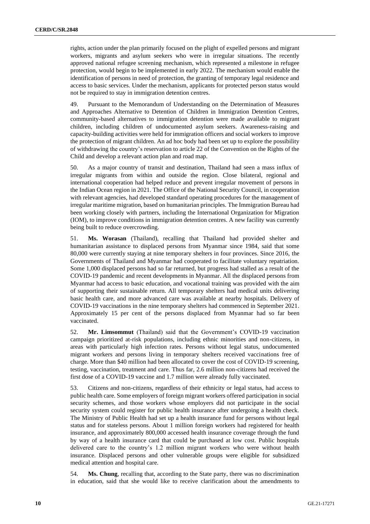rights, action under the plan primarily focused on the plight of expelled persons and migrant workers, migrants and asylum seekers who were in irregular situations. The recently approved national refugee screening mechanism, which represented a milestone in refugee protection, would begin to be implemented in early 2022. The mechanism would enable the identification of persons in need of protection, the granting of temporary legal residence and access to basic services. Under the mechanism, applicants for protected person status would not be required to stay in immigration detention centres.

49. Pursuant to the Memorandum of Understanding on the Determination of Measures and Approaches Alternative to Detention of Children in Immigration Detention Centres, community-based alternatives to immigration detention were made available to migrant children, including children of undocumented asylum seekers. Awareness-raising and capacity-building activities were held for immigration officers and social workers to improve the protection of migrant children. An ad hoc body had been set up to explore the possibility of withdrawing the country's reservation to article 22 of the Convention on the Rights of the Child and develop a relevant action plan and road map.

50. As a major country of transit and destination, Thailand had seen a mass influx of irregular migrants from within and outside the region. Close bilateral, regional and international cooperation had helped reduce and prevent irregular movement of persons in the Indian Ocean region in 2021. The Office of the National Security Council, in cooperation with relevant agencies, had developed standard operating procedures for the management of irregular maritime migration, based on humanitarian principles. The Immigration Bureau had been working closely with partners, including the International Organization for Migration (IOM), to improve conditions in immigration detention centres. A new facility was currently being built to reduce overcrowding.

51. **Ms. Worasan** (Thailand), recalling that Thailand had provided shelter and humanitarian assistance to displaced persons from Myanmar since 1984, said that some 80,000 were currently staying at nine temporary shelters in four provinces. Since 2016, the Governments of Thailand and Myanmar had cooperated to facilitate voluntary repatriation. Some 1,000 displaced persons had so far returned, but progress had stalled as a result of the COVID-19 pandemic and recent developments in Myanmar. All the displaced persons from Myanmar had access to basic education, and vocational training was provided with the aim of supporting their sustainable return. All temporary shelters had medical units delivering basic health care, and more advanced care was available at nearby hospitals. Delivery of COVID-19 vaccinations in the nine temporary shelters had commenced in September 2021. Approximately 15 per cent of the persons displaced from Myanmar had so far been vaccinated.

52. **Mr. Limsommut** (Thailand) said that the Government's COVID-19 vaccination campaign prioritized at-risk populations, including ethnic minorities and non-citizens, in areas with particularly high infection rates. Persons without legal status, undocumented migrant workers and persons living in temporary shelters received vaccinations free of charge. More than \$40 million had been allocated to cover the cost of COVID-19 screening, testing, vaccination, treatment and care. Thus far, 2.6 million non-citizens had received the first dose of a COVID-19 vaccine and 1.7 million were already fully vaccinated.

53. Citizens and non-citizens, regardless of their ethnicity or legal status, had access to public health care. Some employers of foreign migrant workers offered participation in social security schemes, and those workers whose employers did not participate in the social security system could register for public health insurance after undergoing a health check. The Ministry of Public Health had set up a health insurance fund for persons without legal status and for stateless persons. About 1 million foreign workers had registered for health insurance, and approximately 800,000 accessed health insurance coverage through the fund by way of a health insurance card that could be purchased at low cost. Public hospitals delivered care to the country's 1.2 million migrant workers who were without health insurance. Displaced persons and other vulnerable groups were eligible for subsidized medical attention and hospital care.

54. **Ms. Chung**, recalling that, according to the State party, there was no discrimination in education, said that she would like to receive clarification about the amendments to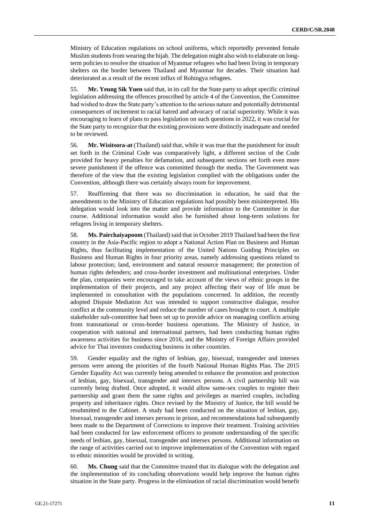Ministry of Education regulations on school uniforms, which reportedly prevented female Muslim students from wearing the hijab. The delegation might also wish to elaborate on longterm policies to resolve the situation of Myanmar refugees who had been living in temporary shelters on the border between Thailand and Myanmar for decades. Their situation had deteriorated as a result of the recent influx of Rohingya refugees.

55. **Mr. Yeung Sik Yuen** said that, in its call for the State party to adopt specific criminal legislation addressing the offences proscribed by article 4 of the Convention, the Committee had wished to draw the State party's attention to the serious nature and potentially detrimental consequences of incitement to racial hatred and advocacy of racial superiority. While it was encouraging to learn of plans to pass legislation on such questions in 2022, it was crucial for the State party to recognize that the existing provisions were distinctly inadequate and needed to be reviewed.

56. **Mr. Wisitsora-at** (Thailand) said that, while it was true that the punishment for insult set forth in the Criminal Code was comparatively light, a different section of the Code provided for heavy penalties for defamation, and subsequent sections set forth even more severe punishment if the offence was committed through the media. The Government was therefore of the view that the existing legislation complied with the obligations under the Convention, although there was certainly always room for improvement.

57. Reaffirming that there was no discrimination in education, he said that the amendments to the Ministry of Education regulations had possibly been misinterpreted. His delegation would look into the matter and provide information to the Committee in due course. Additional information would also be furnished about long-term solutions for refugees living in temporary shelters.

58. **Ms. Pairchaiyapoom** (Thailand) said that in October 2019 Thailand had been the first country in the Asia-Pacific region to adopt a National Action Plan on Business and Human Rights, thus facilitating implementation of the United Nations Guiding Principles on Business and Human Rights in four priority areas, namely addressing questions related to labour protection; land, environment and natural resource management; the protection of human rights defenders; and cross-border investment and multinational enterprises. Under the plan, companies were encouraged to take account of the views of ethnic groups in the implementation of their projects, and any project affecting their way of life must be implemented in consultation with the populations concerned. In addition, the recently adopted Dispute Mediation Act was intended to support constructive dialogue, resolve conflict at the community level and reduce the number of cases brought to court. A multiple stakeholder sub-committee had been set up to provide advice on managing conflicts arising from transnational or cross-border business operations. The Ministry of Justice, in cooperation with national and international partners, had been conducting human rights awareness activities for business since 2016, and the Ministry of Foreign Affairs provided advice for Thai investors conducting business in other countries.

59. Gender equality and the rights of lesbian, gay, bisexual, transgender and intersex persons were among the priorities of the fourth National Human Rights Plan. The 2015 Gender Equality Act was currently being amended to enhance the promotion and protection of lesbian, gay, bisexual, transgender and intersex persons. A civil partnership bill was currently being drafted. Once adopted, it would allow same-sex couples to register their partnership and grant them the same rights and privileges as married couples, including property and inheritance rights. Once revised by the Ministry of Justice, the bill would be resubmitted to the Cabinet. A study had been conducted on the situation of lesbian, gay, bisexual, transgender and intersex persons in prison, and recommendations had subsequently been made to the Department of Corrections to improve their treatment. Training activities had been conducted for law enforcement officers to promote understanding of the specific needs of lesbian, gay, bisexual, transgender and intersex persons. Additional information on the range of activities carried out to improve implementation of the Convention with regard to ethnic minorities would be provided in writing.

60. **Ms. Chung** said that the Committee trusted that its dialogue with the delegation and the implementation of its concluding observations would help improve the human rights situation in the State party. Progress in the elimination of racial discrimination would benefit